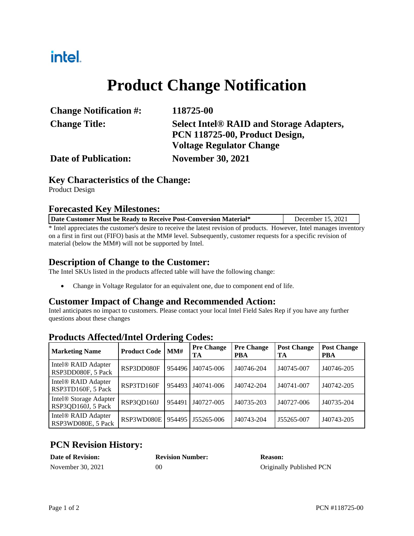### intel.

# **Product Change Notification**

| <b>Change Notification #:</b> | 118725-00                                       |
|-------------------------------|-------------------------------------------------|
| <b>Change Title:</b>          | <b>Select Intel® RAID and Storage Adapters,</b> |
|                               | PCN 118725-00, Product Design,                  |
|                               | <b>Voltage Regulator Change</b>                 |
| <b>Date of Publication:</b>   | <b>November 30, 2021</b>                        |

#### **Key Characteristics of the Change:**

Product Design

#### **Forecasted Key Milestones:**

| Date Customer Must be Ready to Receive Post-Conversion Material*                                                       | December 15, 2021 |  |  |  |  |
|------------------------------------------------------------------------------------------------------------------------|-------------------|--|--|--|--|
| * Intel appreciates the customer's desire to receive the latest revision of products. However, Intel manages inventory |                   |  |  |  |  |
| on a first in first out (FIFO) basis at the MM# level. Subsequently, customer requests for a specific revision of      |                   |  |  |  |  |

material (below the MM#) will not be supported by Intel.

#### **Description of Change to the Customer:**

The Intel SKUs listed in the products affected table will have the following change:

Change in Voltage Regulator for an equivalent one, due to component end of life.

#### **Customer Impact of Change and Recommended Action:**

Intel anticipates no impact to customers. Please contact your local Intel Field Sales Rep if you have any further questions about these changes

| <b>Marketing Name</b>                                    | <b>Product Code</b> | MMH    | <b>Pre Change</b><br>TА | <b>Pre Change</b><br><b>PBA</b> | <b>Post Change</b><br>TA | <b>Post Change</b><br><b>PBA</b> |
|----------------------------------------------------------|---------------------|--------|-------------------------|---------------------------------|--------------------------|----------------------------------|
| Intel <sup>®</sup> RAID Adapter<br>RSP3DD080F, 5 Pack    | RSP3DD080F          | 954496 | J40745-006              | J40746-204                      | J40745-007               | J40746-205                       |
| Intel <sup>®</sup> RAID Adapter<br>RSP3TD160F, 5 Pack    | RSP3TD160F          | 954493 | J40741-006              | J40742-204                      | J40741-007               | J40742-205                       |
| Intel <sup>®</sup> Storage Adapter<br>RSP3QD160J, 5 Pack | RSP3QD160J          | 954491 | J40727-005              | J40735-203                      | J40727-006               | J40735-204                       |
| Intel <sup>®</sup> RAID Adapter<br>RSP3WD080E, 5 Pack    | RSP3WD080E          | 954495 | J55265-006              | J40743-204                      | J55265-007               | J40743-205                       |

#### **Products Affected/Intel Ordering Codes:**

### **PCN Revision History:**

| <b>Date of Revision:</b> | <b>Revision Number:</b> | <b>Reason:</b>           |
|--------------------------|-------------------------|--------------------------|
| November 30, 2021        | 00                      | Originally Published PCN |